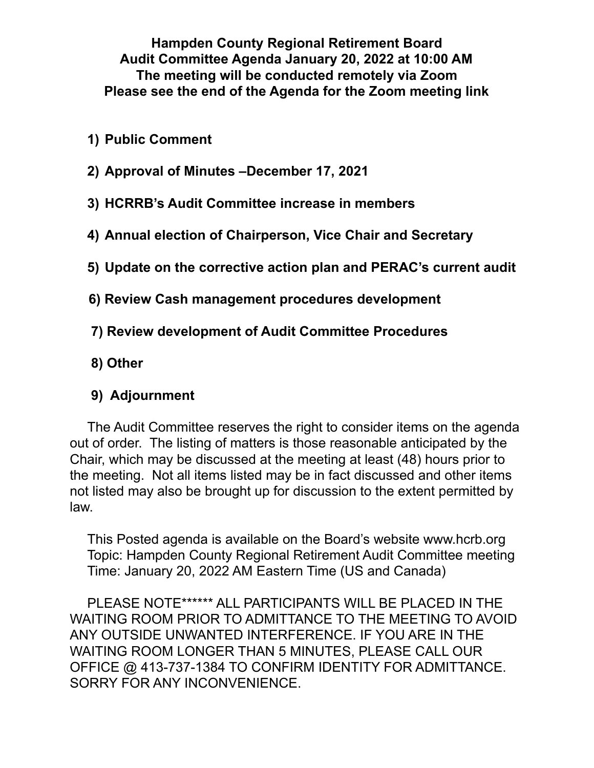**Hampden County Regional Retirement Board Audit Committee Agenda January 20, 2022 at 10:00 AM The meeting will be conducted remotely via Zoom Please see the end of the Agenda for the Zoom meeting link**

- **1) Public Comment**
- **2) Approval of Minutes –December 17, 2021**
- **3) HCRRB's Audit Committee increase in members**
- **4) Annual election of Chairperson, Vice Chair and Secretary**
- **5) Update on the corrective action plan and PERAC's current audit**
- **6) Review Cash management procedures development**
- **7) Review development of Audit Committee Procedures**
- **8) Other**

## **9) Adjournment**

The Audit Committee reserves the right to consider items on the agenda out of order. The listing of matters is those reasonable anticipated by the Chair, which may be discussed at the meeting at least (48) hours prior to the meeting. Not all items listed may be in fact discussed and other items not listed may also be brought up for discussion to the extent permitted by law.

This Posted agenda is available on the Board's website www.hcrb.org Topic: Hampden County Regional Retirement Audit Committee meeting Time: January 20, 2022 AM Eastern Time (US and Canada)

PLEASE NOTE\*\*\*\*\*\* ALL PARTICIPANTS WILL BE PLACED IN THE WAITING ROOM PRIOR TO ADMITTANCE TO THE MEETING TO AVOID ANY OUTSIDE UNWANTED INTERFERENCE. IF YOU ARE IN THE WAITING ROOM LONGER THAN 5 MINUTES, PLEASE CALL OUR OFFICE @ 413-737-1384 TO CONFIRM IDENTITY FOR ADMITTANCE. SORRY FOR ANY INCONVENIENCE.